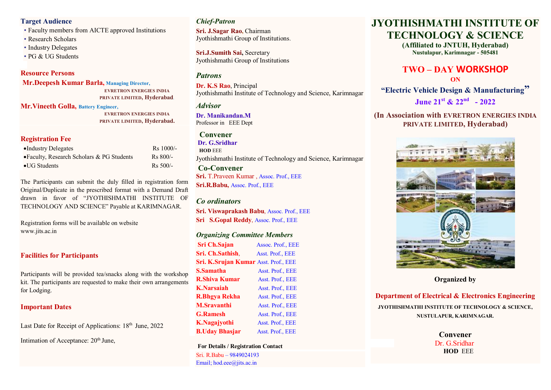#### **Target Audience**

- Faculty members from AICTE approved Institutions
- Research Scholars
- Industry Delegates
- PG & UG Students

#### **Resource Persons**

**Mr.Deepesh Kumar Barla, Managing Director, EVRETRON ENERGIES INDIA PRIVATE LIMITED, Hyderabad.**

**Mr.Vineeth Golla, Battery Engineer,**

 **EVRETRON ENERGIES INDIA PRIVATE LIMITED, Hyderabad.**

#### **Registration Fee**

| •Industry Delegates                          | Rs 1000/-  |
|----------------------------------------------|------------|
| • Faculty, Research Scholars $& PG$ Students | $Rs 800/-$ |
| $\bullet$ UG Students                        | $Rs 500/-$ |

The Participants can submit the duly filled in registration form Original/Duplicate in the prescribed format with a Demand Draft drawn in favor of "JYOTHISHMATHI INSTITUTE OF TECHNOLOGY AND SCIENCE" Payable at KARIMNAGAR.

Registration forms will be available on website www.jits.ac.in

## **Facilities for Participants**

Participants will be provided tea/snacks along with the workshop kit. The participants are requested to make their own arrangements for Lodging.

## **Important Dates**

Last Date for Receipt of Applications: 18<sup>th</sup> June, 2022

Intimation of Acceptance:  $20<sup>th</sup>$  June,

# *Chief-Patron*

**Sri. J.Sagar Rao,** Chairman Jyothishmathi Group of Institutions.

**Sri.J.Sumith Sai,** Secretary Jyothishmathi Group of Institutions

# *Patrons*

**Dr. K.S Rao**, Principal Jyothishmathi Institute of Technology and Science, Karimnagar

#### *Advisor*

**Dr. Manikandan.M** Professor in EEE Dept

# **Convener**

**Dr. G.Sridhar HOD** EEE Jyothishmathi Institute of Technology and Science, Karimnagar

**Co-Convener Sri.** T.Praveen Kumar , Assoc. Prof., EEE **Sri.R.Babu,** Assoc. Prof., EEE

## *Co ordinators*

**Sri. Viswaprakash Babu**, Assoc. Prof., EEE **Sri S.Gopal Reddy**, Assoc. Prof., EEE

#### *Organizing Committee Members*

**Sri Ch.Sajan Assoc. Prof., EEE Sri. Ch.Sathish**, Asst. Prof., EEE **Sri. K.Srujan Kumar** Asst. Prof., EEE **S.Samatha Asst. Prof., EEE R.Shiva Kumar Asst. Prof., EEE K.Narsaiah** Asst. Prof., EEE **R.Bhgya Rekha** Asst. Prof., EEE **M.Sravanthi** Asst. Prof., EEE **G.Ramesh** Asst. Prof., EEE **K.Nagajyothi** Asst. Prof., EEE **B.Uday Bhasjar** Asst. Prof., EEE

**For Details / Registration Contact** Sri. R.Babu – 9849024193 Email; hod.eee@jits.ac.in

# **JYOTHISHMATHI INSTITUTE OF TECHNOLOGY & SCIENCE**

**(Affiliated to JNTUH, Hyderabad) Nustulapur, Karimnagar - 505481**

# **TWO – DAY WORKSHOP ON**

**"Electric Vehicle Design & Manufacturing"** 

**June 21 st & 22 nd - 2022**

## **(In Association with EVRETRON ENERGIES INDIA PRIVATE LIMITED, Hyderabad)**



**Organized by**

# **Department of Electrical & Electronics Engineering**

**JYOTHISHMATHI INSTITUTE OF TECHNOLOGY & SCIENCE, NUSTULAPUR, KARIMNAGAR.**

> **Convener** Dr. G.Sridhar  **HOD** EEE